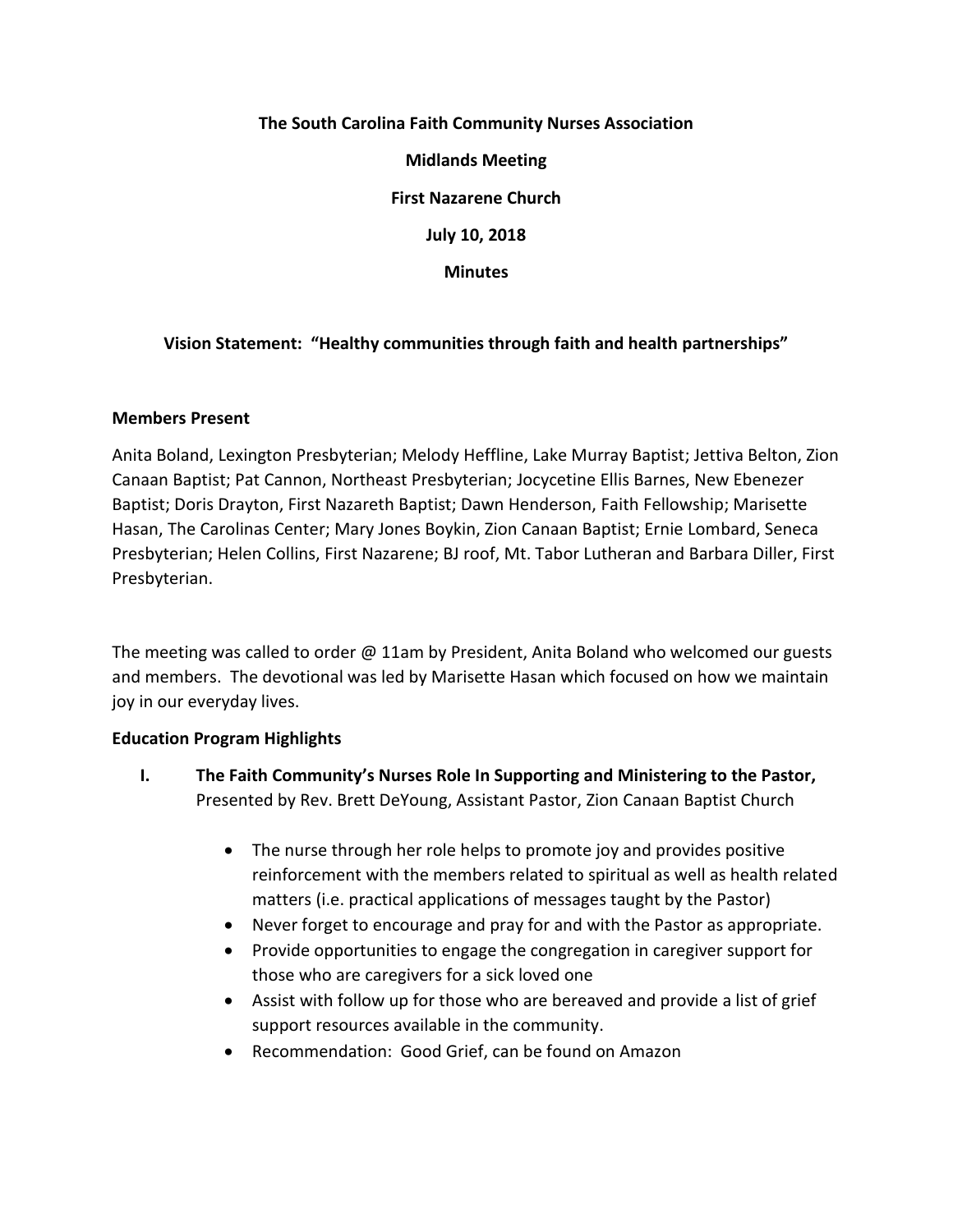# **The South Carolina Faith Community Nurses Association Midlands Meeting First Nazarene Church July 10, 2018 Minutes**

# **Vision Statement: "Healthy communities through faith and health partnerships"**

## **Members Present**

Anita Boland, Lexington Presbyterian; Melody Heffline, Lake Murray Baptist; Jettiva Belton, Zion Canaan Baptist; Pat Cannon, Northeast Presbyterian; Jocycetine Ellis Barnes, New Ebenezer Baptist; Doris Drayton, First Nazareth Baptist; Dawn Henderson, Faith Fellowship; Marisette Hasan, The Carolinas Center; Mary Jones Boykin, Zion Canaan Baptist; Ernie Lombard, Seneca Presbyterian; Helen Collins, First Nazarene; BJ roof, Mt. Tabor Lutheran and Barbara Diller, First Presbyterian.

The meeting was called to order @ 11am by President, Anita Boland who welcomed our guests and members. The devotional was led by Marisette Hasan which focused on how we maintain joy in our everyday lives.

#### **Education Program Highlights**

- **I. The Faith Community's Nurses Role In Supporting and Ministering to the Pastor,**  Presented by Rev. Brett DeYoung, Assistant Pastor, Zion Canaan Baptist Church
	- The nurse through her role helps to promote joy and provides positive reinforcement with the members related to spiritual as well as health related matters (i.e. practical applications of messages taught by the Pastor)
	- Never forget to encourage and pray for and with the Pastor as appropriate.
	- Provide opportunities to engage the congregation in caregiver support for those who are caregivers for a sick loved one
	- Assist with follow up for those who are bereaved and provide a list of grief support resources available in the community.
	- Recommendation: Good Grief, can be found on Amazon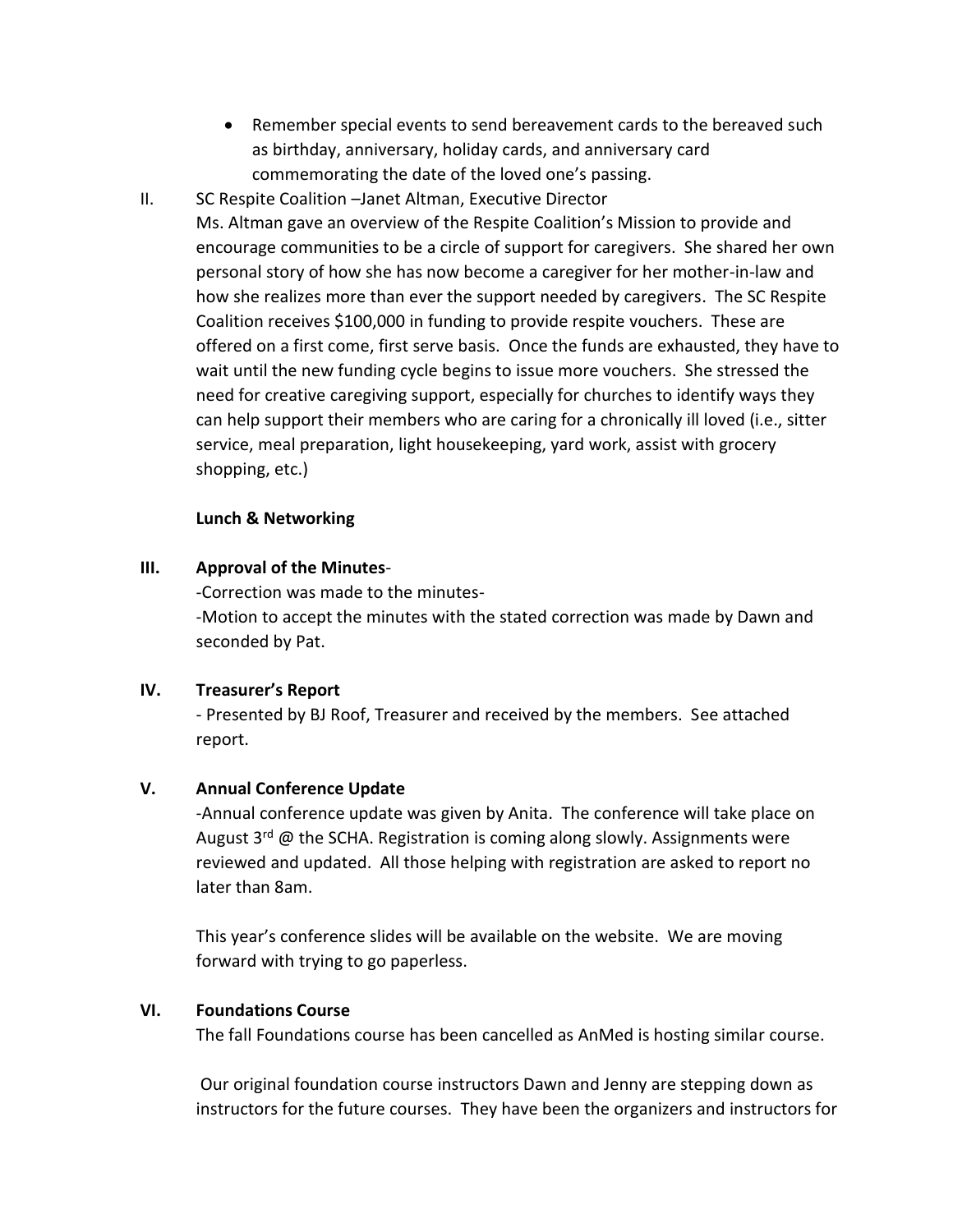- Remember special events to send bereavement cards to the bereaved such as birthday, anniversary, holiday cards, and anniversary card commemorating the date of the loved one's passing.
- II. SC Respite Coalition –Janet Altman, Executive Director

Ms. Altman gave an overview of the Respite Coalition's Mission to provide and encourage communities to be a circle of support for caregivers. She shared her own personal story of how she has now become a caregiver for her mother-in-law and how she realizes more than ever the support needed by caregivers. The SC Respite Coalition receives \$100,000 in funding to provide respite vouchers. These are offered on a first come, first serve basis. Once the funds are exhausted, they have to wait until the new funding cycle begins to issue more vouchers. She stressed the need for creative caregiving support, especially for churches to identify ways they can help support their members who are caring for a chronically ill loved (i.e., sitter service, meal preparation, light housekeeping, yard work, assist with grocery shopping, etc.)

## **Lunch & Networking**

## **III. Approval of the Minutes**-

-Correction was made to the minutes- -Motion to accept the minutes with the stated correction was made by Dawn and seconded by Pat.

# **IV. Treasurer's Report**

- Presented by BJ Roof, Treasurer and received by the members. See attached report.

# **V. Annual Conference Update**

-Annual conference update was given by Anita. The conference will take place on August  $3^{rd}$  @ the SCHA. Registration is coming along slowly. Assignments were reviewed and updated. All those helping with registration are asked to report no later than 8am.

This year's conference slides will be available on the website. We are moving forward with trying to go paperless.

## **VI. Foundations Course**

The fall Foundations course has been cancelled as AnMed is hosting similar course.

Our original foundation course instructors Dawn and Jenny are stepping down as instructors for the future courses. They have been the organizers and instructors for